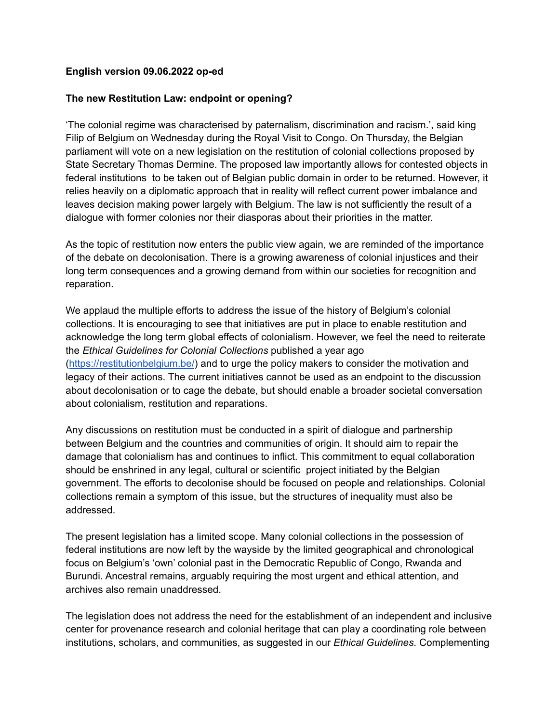## **English version 09.06.2022 op-ed**

## **The new Restitution Law: endpoint or opening?**

'The colonial regime was characterised by paternalism, discrimination and racism.', said king Filip of Belgium on Wednesday during the Royal Visit to Congo. On Thursday, the Belgian parliament will vote on a new legislation on the restitution of colonial collections proposed by State Secretary Thomas Dermine. The proposed law importantly allows for contested objects in federal institutions to be taken out of Belgian public domain in order to be returned. However, it relies heavily on a diplomatic approach that in reality will reflect current power imbalance and leaves decision making power largely with Belgium. The law is not sufficiently the result of a dialogue with former colonies nor their diasporas about their priorities in the matter.

As the topic of restitution now enters the public view again, we are reminded of the importance of the debate on decolonisation. There is a growing awareness of colonial injustices and their long term consequences and a growing demand from within our societies for recognition and reparation.

We applaud the multiple efforts to address the issue of the history of Belgium's colonial collections. It is encouraging to see that initiatives are put in place to enable restitution and acknowledge the long term global effects of colonialism. However, we feel the need to reiterate the *Ethical Guidelines for Colonial Collections* published a year ago (<https://restitutionbelgium.be/>) and to urge the policy makers to consider the motivation and legacy of their actions. The current initiatives cannot be used as an endpoint to the discussion about decolonisation or to cage the debate, but should enable a broader societal conversation about colonialism, restitution and reparations.

Any discussions on restitution must be conducted in a spirit of dialogue and partnership between Belgium and the countries and communities of origin. It should aim to repair the damage that colonialism has and continues to inflict. This commitment to equal collaboration should be enshrined in any legal, cultural or scientific project initiated by the Belgian government. The efforts to decolonise should be focused on people and relationships. Colonial collections remain a symptom of this issue, but the structures of inequality must also be addressed.

The present legislation has a limited scope. Many colonial collections in the possession of federal institutions are now left by the wayside by the limited geographical and chronological focus on Belgium's 'own' colonial past in the Democratic Republic of Congo, Rwanda and Burundi. Ancestral remains, arguably requiring the most urgent and ethical attention, and archives also remain unaddressed.

The legislation does not address the need for the establishment of an independent and inclusive center for provenance research and colonial heritage that can play a coordinating role between institutions, scholars, and communities, as suggested in our *Ethical Guidelines*. Complementing